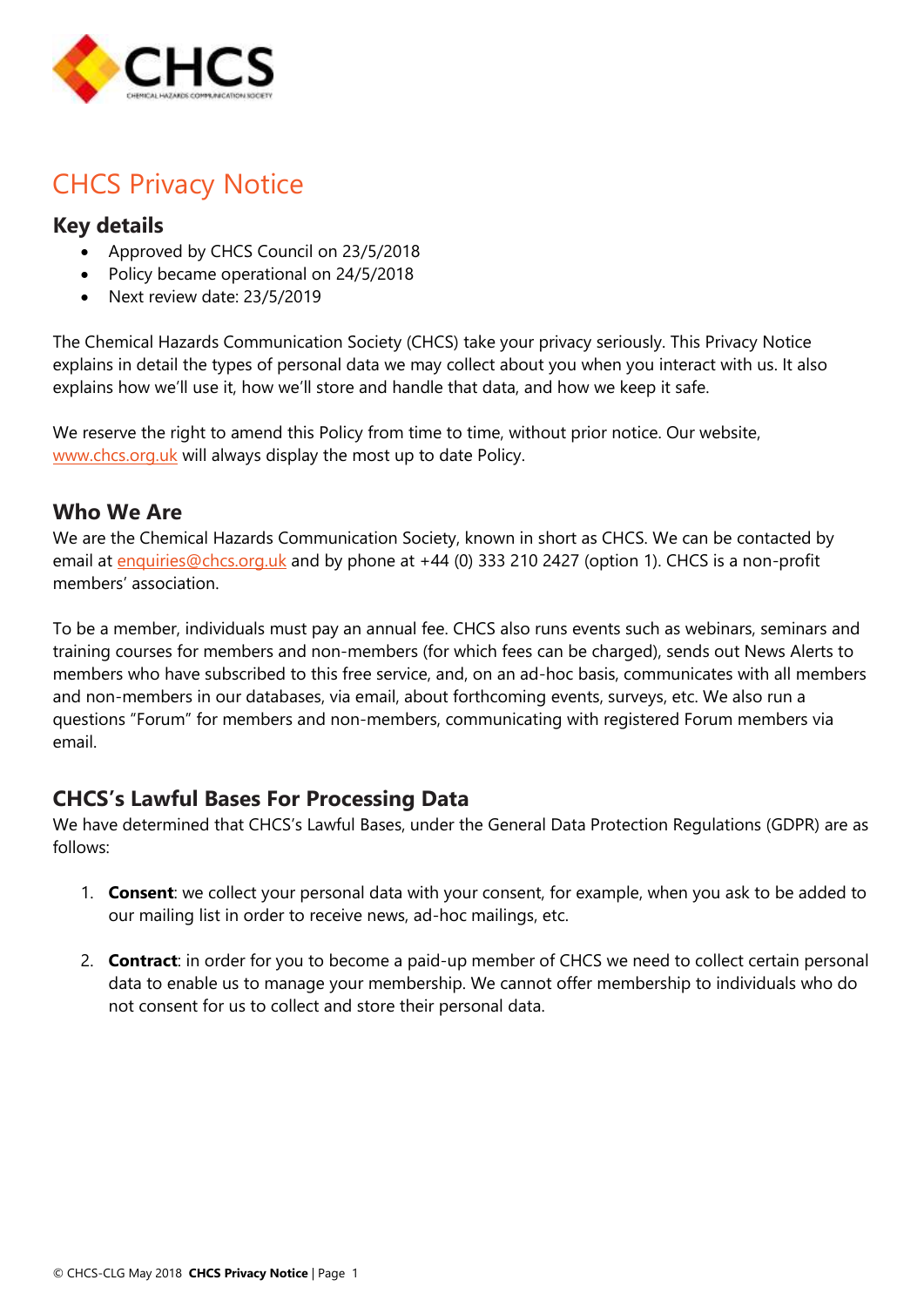

# CHCS Privacy Notice

#### **Key details**

- Approved by CHCS Council on 23/5/2018
- Policy became operational on 24/5/2018
- Next review date: 23/5/2019

The Chemical Hazards Communication Society (CHCS) take your privacy seriously. This Privacy Notice explains in detail the types of personal data we may collect about you when you interact with us. It also explains how we'll use it, how we'll store and handle that data, and how we keep it safe.

We reserve the right to amend this Policy from time to time, without prior notice. Our website, [www.chcs.org.uk](http://www.chcs.org.uk/) will always display the most up to date Policy.

#### **Who We Are**

We are the Chemical Hazards Communication Society, known in short as CHCS. We can be contacted by email at [enquiries@chcs.org.uk](mailto:enquiries@chcs.org.uk) and by phone at +44 (0) 333 210 2427 (option 1). CHCS is a non-profit members' association.

To be a member, individuals must pay an annual fee. CHCS also runs events such as webinars, seminars and training courses for members and non-members (for which fees can be charged), sends out News Alerts to members who have subscribed to this free service, and, on an ad-hoc basis, communicates with all members and non-members in our databases, via email, about forthcoming events, surveys, etc. We also run a questions "Forum" for members and non-members, communicating with registered Forum members via email.

## **CHCS's Lawful Bases For Processing Data**

We have determined that CHCS's Lawful Bases, under the General Data Protection Regulations (GDPR) are as follows:

- 1. **Consent**: we collect your personal data with your consent, for example, when you ask to be added to our mailing list in order to receive news, ad-hoc mailings, etc.
- 2. **Contract**: in order for you to become a paid-up member of CHCS we need to collect certain personal data to enable us to manage your membership. We cannot offer membership to individuals who do not consent for us to collect and store their personal data.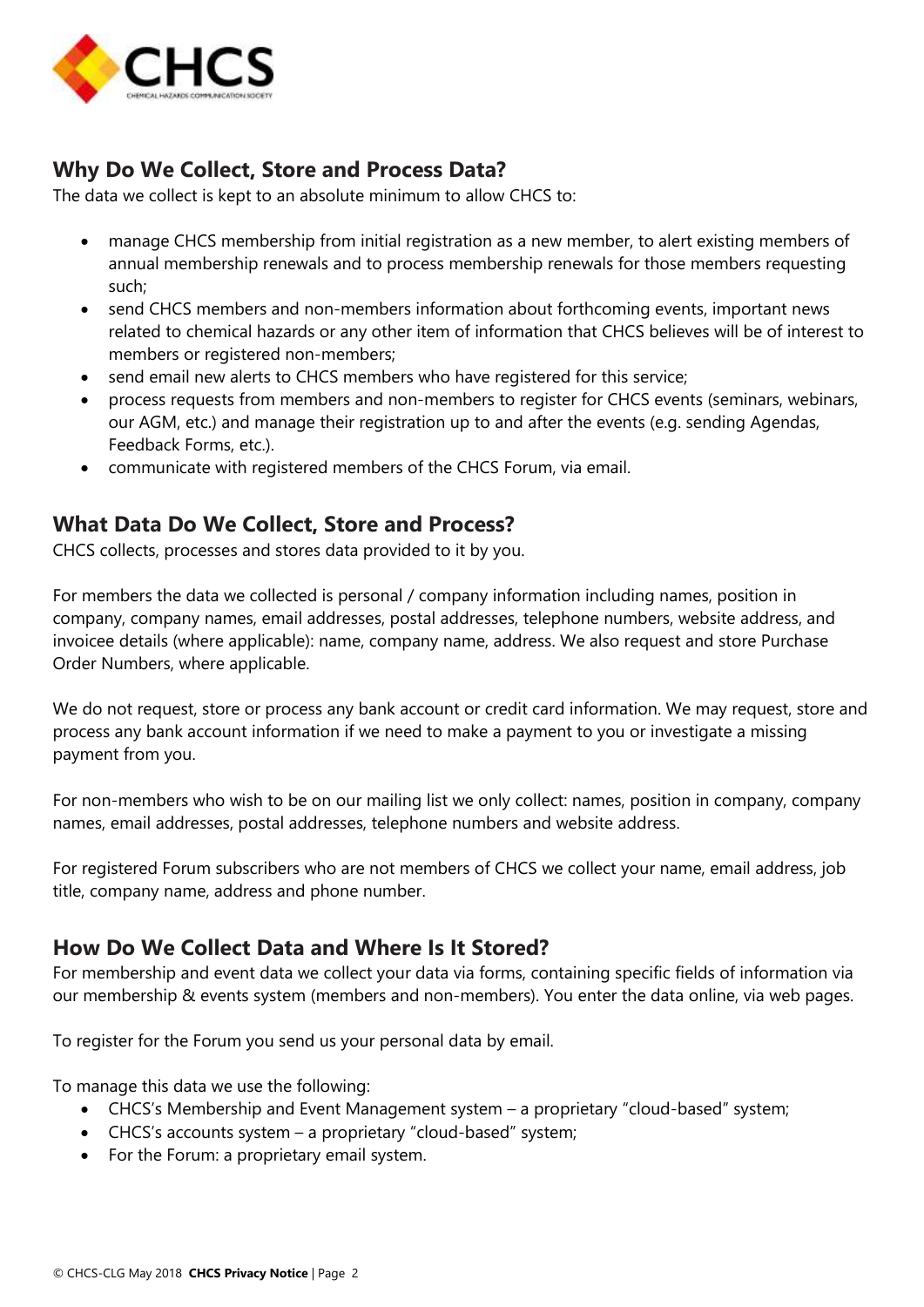

## **Why Do We Collect, Store and Process Data?**

The data we collect is kept to an absolute minimum to allow CHCS to:

- manage CHCS membership from initial registration as a new member, to alert existing members of annual membership renewals and to process membership renewals for those members requesting such;
- send CHCS members and non-members information about forthcoming events, important news related to chemical hazards or any other item of information that CHCS believes will be of interest to members or registered non-members;
- send email new alerts to CHCS members who have registered for this service;
- process requests from members and non-members to register for CHCS events (seminars, webinars, our AGM, etc.) and manage their registration up to and after the events (e.g. sending Agendas, Feedback Forms, etc.).
- communicate with registered members of the CHCS Forum, via email.

### **What Data Do We Collect, Store and Process?**

CHCS collects, processes and stores data provided to it by you.

For members the data we collected is personal / company information including names, position in company, company names, email addresses, postal addresses, telephone numbers, website address, and invoicee details (where applicable): name, company name, address. We also request and store Purchase Order Numbers, where applicable.

We do not request, store or process any bank account or credit card information. We may request, store and process any bank account information if we need to make a payment to you or investigate a missing payment from you.

For non-members who wish to be on our mailing list we only collect: names, position in company, company names, email addresses, postal addresses, telephone numbers and website address.

For registered Forum subscribers who are not members of CHCS we collect your name, email address, job title, company name, address and phone number.

#### **How Do We Collect Data and Where Is It Stored?**

For membership and event data we collect your data via forms, containing specific fields of information via our membership & events system (members and non-members). You enter the data online, via web pages.

To register for the Forum you send us your personal data by email.

To manage this data we use the following:

- CHCS's Membership and Event Management system a proprietary "cloud-based" system;
- CHCS's accounts system a proprietary "cloud-based" system;
- For the Forum: a proprietary email system.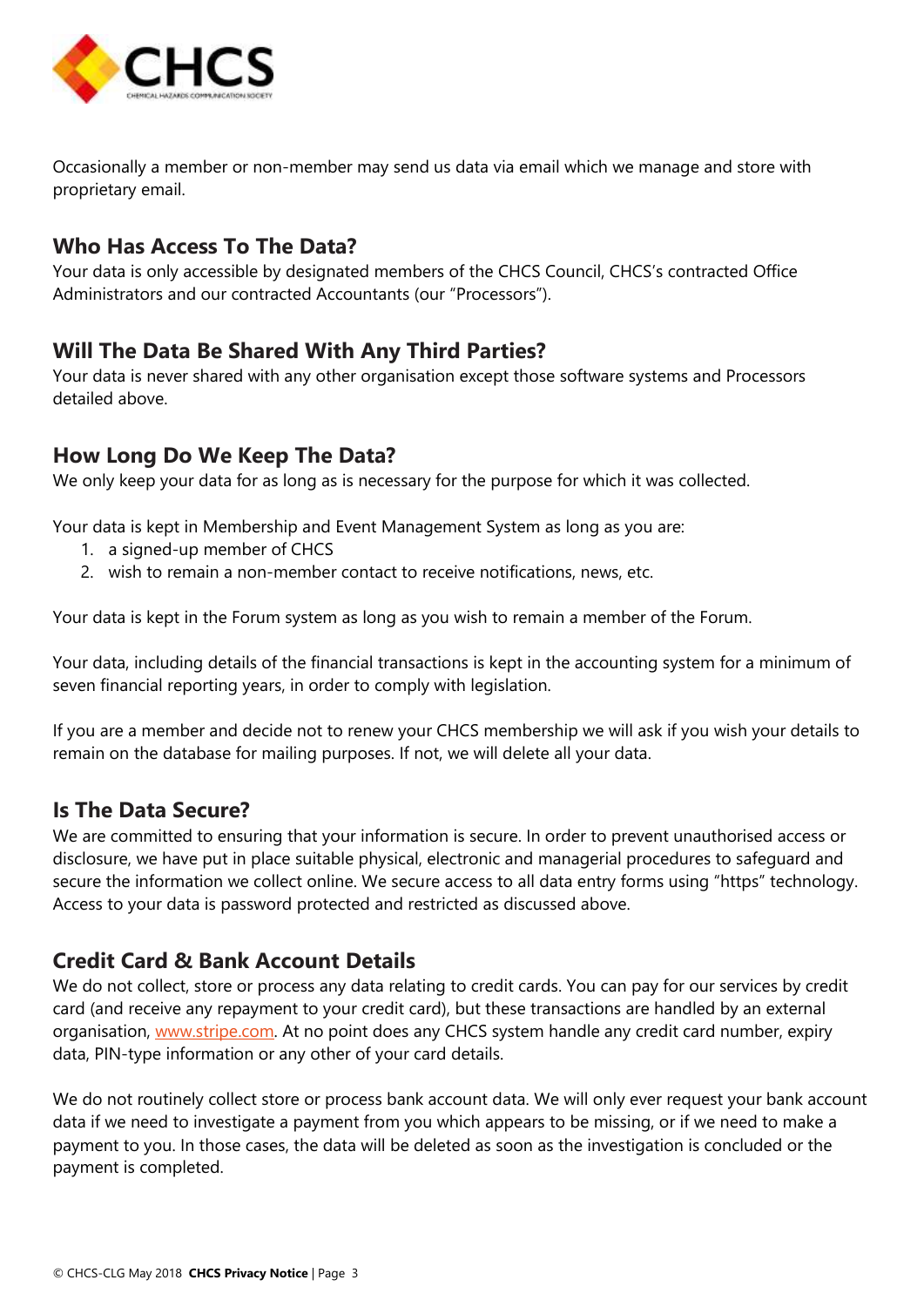

Occasionally a member or non-member may send us data via email which we manage and store with proprietary email.

## **Who Has Access To The Data?**

Your data is only accessible by designated members of the CHCS Council, CHCS's contracted Office Administrators and our contracted Accountants (our "Processors").

#### **Will The Data Be Shared With Any Third Parties?**

Your data is never shared with any other organisation except those software systems and Processors detailed above.

### **How Long Do We Keep The Data?**

We only keep your data for as long as is necessary for the purpose for which it was collected.

Your data is kept in Membership and Event Management System as long as you are:

- 1. a signed-up member of CHCS
- 2. wish to remain a non-member contact to receive notifications, news, etc.

Your data is kept in the Forum system as long as you wish to remain a member of the Forum.

Your data, including details of the financial transactions is kept in the accounting system for a minimum of seven financial reporting years, in order to comply with legislation.

If you are a member and decide not to renew your CHCS membership we will ask if you wish your details to remain on the database for mailing purposes. If not, we will delete all your data.

#### **Is The Data Secure?**

We are committed to ensuring that your information is secure. In order to prevent unauthorised access or disclosure, we have put in place suitable physical, electronic and managerial procedures to safeguard and secure the information we collect online. We secure access to all data entry forms using "https" technology. Access to your data is password protected and restricted as discussed above.

## **Credit Card & Bank Account Details**

We do not collect, store or process any data relating to credit cards. You can pay for our services by credit card (and receive any repayment to your credit card), but these transactions are handled by an external organisation, [www.stripe.com.](http://www.stripe.com/) At no point does any CHCS system handle any credit card number, expiry data, PIN-type information or any other of your card details.

We do not routinely collect store or process bank account data. We will only ever request your bank account data if we need to investigate a payment from you which appears to be missing, or if we need to make a payment to you. In those cases, the data will be deleted as soon as the investigation is concluded or the payment is completed.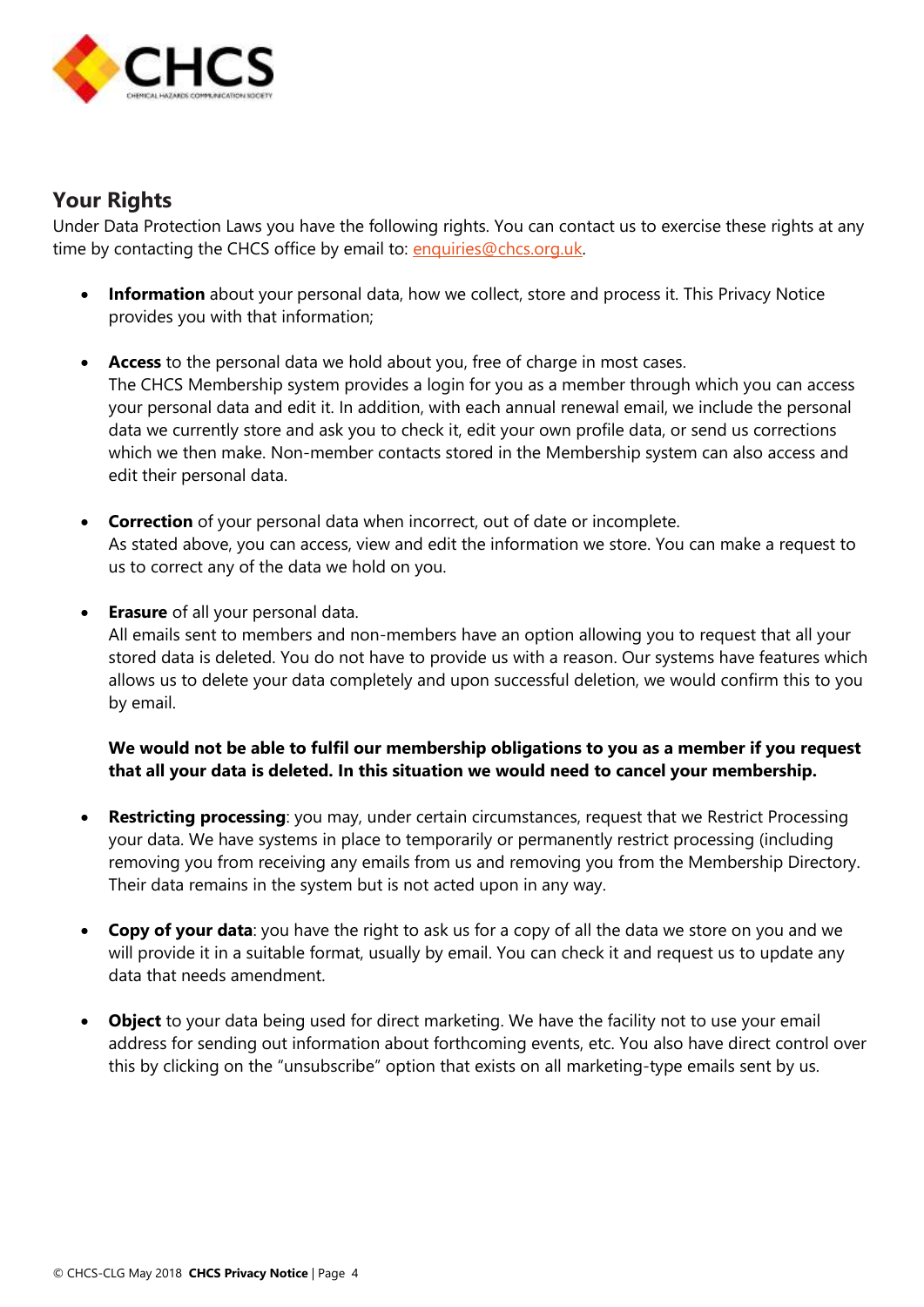

#### **Your Rights**

Under Data Protection Laws you have the following rights. You can contact us to exercise these rights at any time by contacting the CHCS office by email to: [enquiries@chcs.org.uk.](mailto:enquiries@chcs.org.uk)

- **Information** about your personal data, how we collect, store and process it. This Privacy Notice provides you with that information;
- **Access** to the personal data we hold about you, free of charge in most cases. The CHCS Membership system provides a login for you as a member through which you can access your personal data and edit it. In addition, with each annual renewal email, we include the personal data we currently store and ask you to check it, edit your own profile data, or send us corrections which we then make. Non-member contacts stored in the Membership system can also access and edit their personal data.
- **Correction** of your personal data when incorrect, out of date or incomplete. As stated above, you can access, view and edit the information we store. You can make a request to us to correct any of the data we hold on you.
- **Erasure** of all your personal data.

All emails sent to members and non-members have an option allowing you to request that all your stored data is deleted. You do not have to provide us with a reason. Our systems have features which allows us to delete your data completely and upon successful deletion, we would confirm this to you by email.

#### **We would not be able to fulfil our membership obligations to you as a member if you request that all your data is deleted. In this situation we would need to cancel your membership.**

- **Restricting processing**: you may, under certain circumstances, request that we Restrict Processing your data. We have systems in place to temporarily or permanently restrict processing (including removing you from receiving any emails from us and removing you from the Membership Directory. Their data remains in the system but is not acted upon in any way.
- **Copy of your data**: you have the right to ask us for a copy of all the data we store on you and we will provide it in a suitable format, usually by email. You can check it and request us to update any data that needs amendment.
- **Object** to your data being used for direct marketing. We have the facility not to use your email address for sending out information about forthcoming events, etc. You also have direct control over this by clicking on the "unsubscribe" option that exists on all marketing-type emails sent by us.